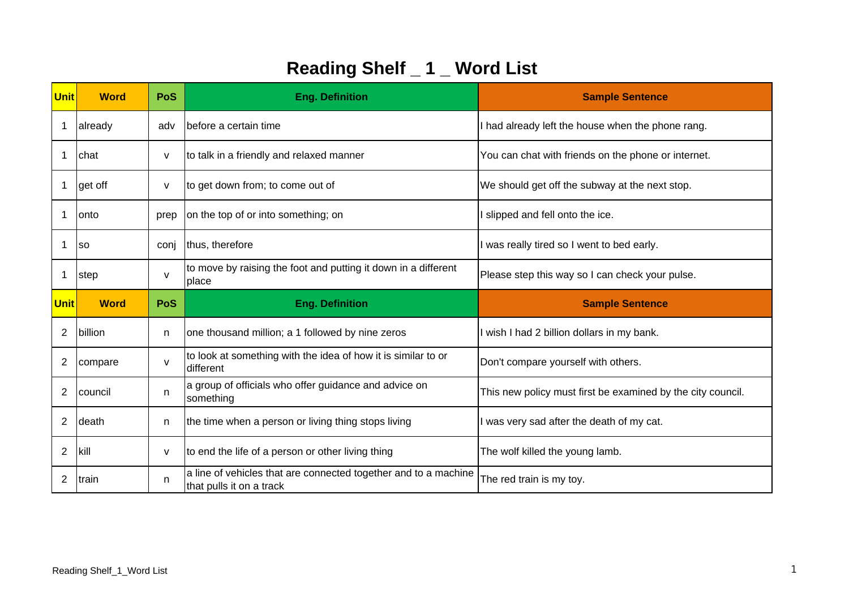| <b>Unit</b>    | <b>Word</b> | PoS          | <b>Eng. Definition</b>                                                     | <b>Sample Sentence</b>                                      |
|----------------|-------------|--------------|----------------------------------------------------------------------------|-------------------------------------------------------------|
| 1              | already     | adv          | before a certain time                                                      | I had already left the house when the phone rang.           |
| 1              | Ichat       | V            | to talk in a friendly and relaxed manner                                   | You can chat with friends on the phone or internet.         |
|                | get off     | $\mathsf{V}$ | to get down from; to come out of                                           | We should get off the subway at the next stop.              |
| -1             | lonto       | prep         | on the top of or into something; on                                        | I slipped and fell onto the ice.                            |
| 1              | <b>SO</b>   | conj         | thus, therefore                                                            | I was really tired so I went to bed early.                  |
|                | step        | $\mathsf{v}$ | to move by raising the foot and putting it down in a different<br>place    | Please step this way so I can check your pulse.             |
|                |             |              |                                                                            |                                                             |
| <b>Unit</b>    | <b>Word</b> | <b>PoS</b>   | <b>Eng. Definition</b>                                                     | <b>Sample Sentence</b>                                      |
| 2              | billion     | n.           | one thousand million; a 1 followed by nine zeros                           | I wish I had 2 billion dollars in my bank.                  |
| $\overline{2}$ | compare     | $\mathsf{v}$ | to look at something with the idea of how it is similar to or<br>different | Don't compare yourself with others.                         |
| 2              | council     | n            | a group of officials who offer guidance and advice on<br>something         | This new policy must first be examined by the city council. |
| $\overline{2}$ | death       | n            | the time when a person or living thing stops living                        | I was very sad after the death of my cat.                   |
| $\overline{2}$ | kill        | v            | to end the life of a person or other living thing                          | The wolf killed the young lamb.                             |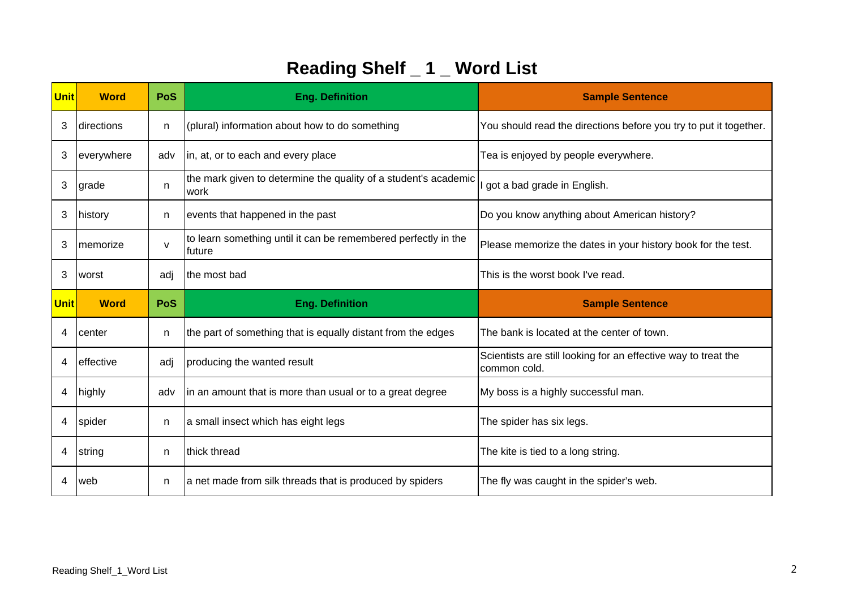| <b>Unit</b> | <b>Word</b> | <b>PoS</b>   | <b>Eng. Definition</b>                                                   | <b>Sample Sentence</b>                                                         |
|-------------|-------------|--------------|--------------------------------------------------------------------------|--------------------------------------------------------------------------------|
| 3           | directions  | n            | (plural) information about how to do something                           | You should read the directions before you try to put it together.              |
| 3           | everywhere  | adv          | in, at, or to each and every place                                       | Tea is enjoyed by people everywhere.                                           |
| 3           | grade       | n.           | the mark given to determine the quality of a student's academic<br>work  | got a bad grade in English.                                                    |
| 3           | history     | n            | events that happened in the past                                         | Do you know anything about American history?                                   |
| 3           | memorize    | $\mathsf{v}$ | to learn something until it can be remembered perfectly in the<br>future | Please memorize the dates in your history book for the test.                   |
| 3           | worst       | adj          | the most bad                                                             | This is the worst book I've read.                                              |
|             |             |              |                                                                          |                                                                                |
| <b>Unit</b> | <b>Word</b> | <b>PoS</b>   | <b>Eng. Definition</b>                                                   | <b>Sample Sentence</b>                                                         |
| 4           | center      | n            | the part of something that is equally distant from the edges             | The bank is located at the center of town.                                     |
| 4           | effective   | adj          | producing the wanted result                                              | Scientists are still looking for an effective way to treat the<br>common cold. |
| 4           | highly      | adv          | in an amount that is more than usual or to a great degree                | My boss is a highly successful man.                                            |
| 4           | spider      | n            | a small insect which has eight legs                                      | The spider has six legs.                                                       |
| 4           | string      | n.           | thick thread                                                             | The kite is tied to a long string.                                             |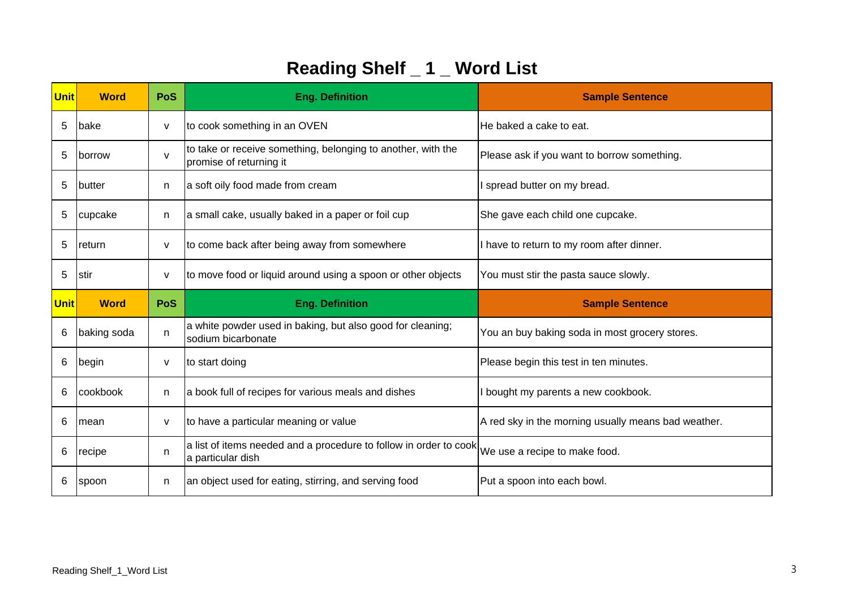| <b>Unit</b> | <b>Word</b>   | <b>PoS</b> | <b>Eng. Definition</b>                                                                  | <b>Sample Sentence</b>                              |
|-------------|---------------|------------|-----------------------------------------------------------------------------------------|-----------------------------------------------------|
| 5           | lbake         | v          | to cook something in an OVEN                                                            | He baked a cake to eat.                             |
| 5           | <b>borrow</b> | v          | to take or receive something, belonging to another, with the<br>promise of returning it | Please ask if you want to borrow something.         |
| 5           | <b>butter</b> | n          | a soft oily food made from cream                                                        | I spread butter on my bread.                        |
| 5           | cupcake       | n          | a small cake, usually baked in a paper or foil cup                                      | She gave each child one cupcake.                    |
| 5           | return        | v          | to come back after being away from somewhere                                            | I have to return to my room after dinner.           |
| 5           | stir          | V          | to move food or liquid around using a spoon or other objects                            | You must stir the pasta sauce slowly.               |
|             |               |            |                                                                                         |                                                     |
| <b>Unit</b> | <b>Word</b>   | PoS        | <b>Eng. Definition</b>                                                                  | <b>Sample Sentence</b>                              |
| 6           | baking soda   | n          | a white powder used in baking, but also good for cleaning;<br>sodium bicarbonate        | You an buy baking soda in most grocery stores.      |
| 6           | begin         | v          | to start doing                                                                          | Please begin this test in ten minutes.              |
| 6           | cookbook      | n          | a book full of recipes for various meals and dishes                                     | I bought my parents a new cookbook.                 |
| 6           | mean          | v          | to have a particular meaning or value                                                   | A red sky in the morning usually means bad weather. |
| 6           | recipe        | n.         | a list of items needed and a procedure to follow in order to cook<br>a particular dish  | We use a recipe to make food.                       |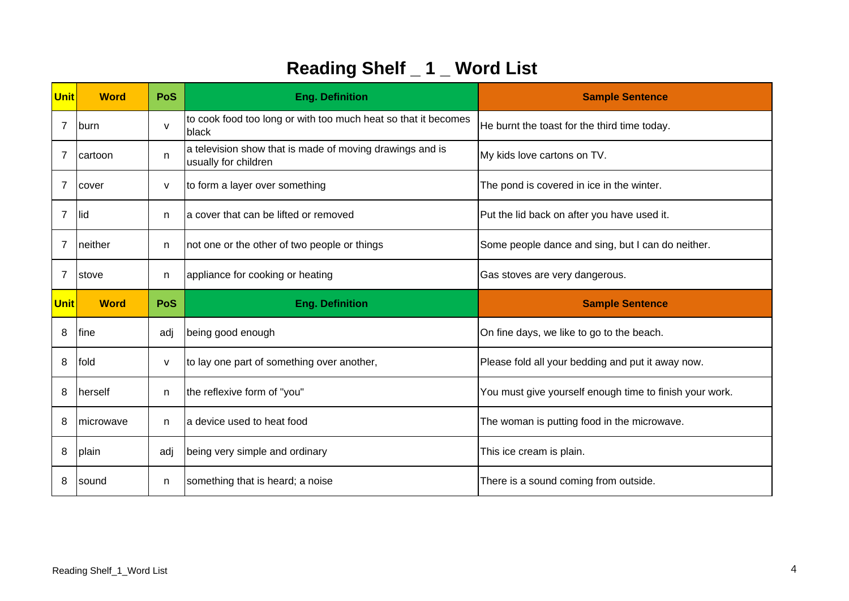| <b>Unit</b>    | <b>Word</b>   | <b>PoS</b>   | <b>Eng. Definition</b>                                                           | <b>Sample Sentence</b>                                  |
|----------------|---------------|--------------|----------------------------------------------------------------------------------|---------------------------------------------------------|
| 7              | <b>burn</b>   | $\mathsf{V}$ | to cook food too long or with too much heat so that it becomes<br>black          | He burnt the toast for the third time today.            |
| 7              | cartoon       | n            | a television show that is made of moving drawings and is<br>usually for children | My kids love cartons on TV.                             |
| 7              | cover         | $\mathsf{V}$ | to form a layer over something                                                   | The pond is covered in ice in the winter.               |
| $\overline{7}$ | llid          | n            | a cover that can be lifted or removed                                            | Put the lid back on after you have used it.             |
| 7              | neither       | n            | not one or the other of two people or things                                     | Some people dance and sing, but I can do neither.       |
| $\overline{7}$ | <b>Istove</b> | n            | appliance for cooking or heating                                                 | Gas stoves are very dangerous.                          |
|                |               |              |                                                                                  |                                                         |
| <b>Unit</b>    | <b>Word</b>   | PoS          | <b>Eng. Definition</b>                                                           | <b>Sample Sentence</b>                                  |
| 8              | <b>I</b> fine | adj          | being good enough                                                                | On fine days, we like to go to the beach.               |
| 8              | fold          | v            | to lay one part of something over another,                                       | Please fold all your bedding and put it away now.       |
| 8              | herself       | n            | the reflexive form of "you"                                                      | You must give yourself enough time to finish your work. |
| 8              | Imicrowave    | n            | a device used to heat food                                                       | The woman is putting food in the microwave.             |
| 8              | plain         | adj          | being very simple and ordinary                                                   | This ice cream is plain.                                |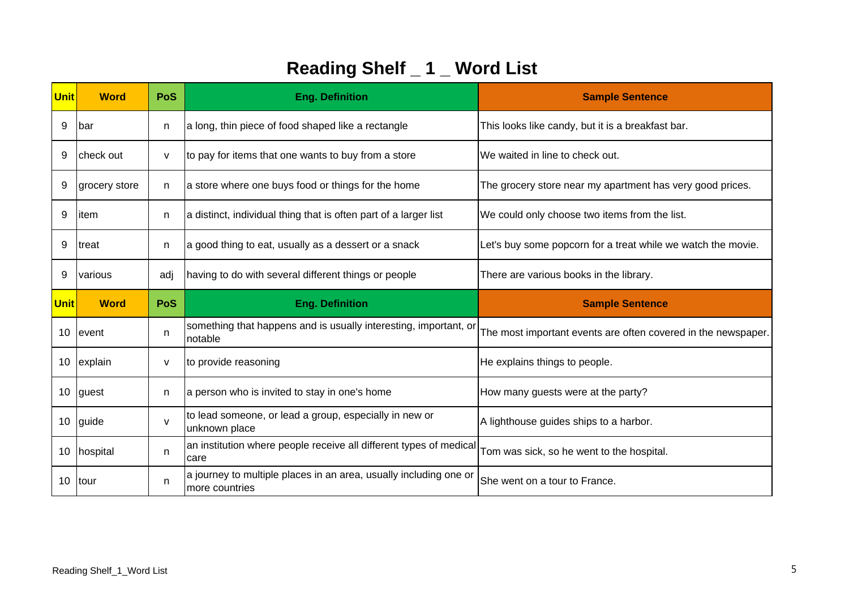| Unit | <b>Word</b>   | <b>PoS</b>   | <b>Eng. Definition</b>                                                      | <b>Sample Sentence</b>                                        |
|------|---------------|--------------|-----------------------------------------------------------------------------|---------------------------------------------------------------|
| 9    | <b>bar</b>    | n            | a long, thin piece of food shaped like a rectangle                          | This looks like candy, but it is a breakfast bar.             |
| 9    | check out     | v            | to pay for items that one wants to buy from a store                         | We waited in line to check out.                               |
| 9    | grocery store | n.           | a store where one buys food or things for the home                          | The grocery store near my apartment has very good prices.     |
| 9    | item          | n            | a distinct, individual thing that is often part of a larger list            | We could only choose two items from the list.                 |
| 9    | Itreat        | n            | a good thing to eat, usually as a dessert or a snack                        | Let's buy some popcorn for a treat while we watch the movie.  |
| 9    | various       | adj          | having to do with several different things or people                        | There are various books in the library.                       |
|      |               |              |                                                                             |                                                               |
| Unit | <b>Word</b>   | PoS          | <b>Eng. Definition</b>                                                      | <b>Sample Sentence</b>                                        |
| 10   | levent        | n            | something that happens and is usually interesting, important, or<br>notable | The most important events are often covered in the newspaper. |
| 10   | explain       | V            | to provide reasoning                                                        | He explains things to people.                                 |
| 10   | guest         | n            | a person who is invited to stay in one's home                               | How many guests were at the party?                            |
| 10   | guide         | $\mathsf{v}$ | to lead someone, or lead a group, especially in new or<br>unknown place     | A lighthouse guides ships to a harbor.                        |
| 10   | hospital      | n.           | an institution where people receive all different types of medical<br>care  | Tom was sick, so he went to the hospital.                     |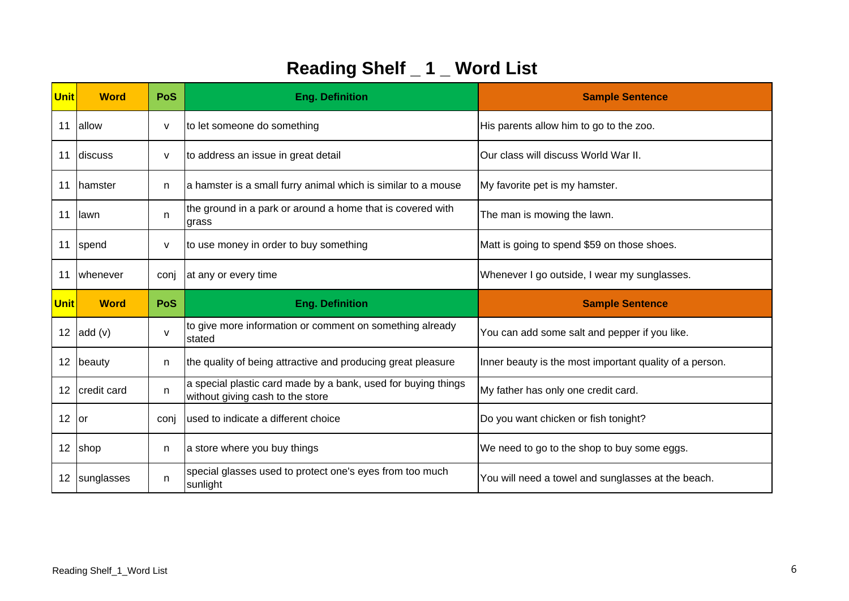| Unit | <b>Word</b>      | <b>PoS</b> | <b>Eng. Definition</b>                                                                            | <b>Sample Sentence</b>                                  |
|------|------------------|------------|---------------------------------------------------------------------------------------------------|---------------------------------------------------------|
| 11   | allow            | v          | to let someone do something                                                                       | His parents allow him to go to the zoo.                 |
| 11   | discuss          | v          | to address an issue in great detail                                                               | Our class will discuss World War II.                    |
| 11   | <b>I</b> hamster | n          | a hamster is a small furry animal which is similar to a mouse                                     | My favorite pet is my hamster.                          |
| 11   | llawn            | n          | the ground in a park or around a home that is covered with<br>grass                               | The man is mowing the lawn.                             |
| 11   | spend            | v          | to use money in order to buy something                                                            | Matt is going to spend \$59 on those shoes.             |
| 11   | whenever         | conj       | at any or every time                                                                              | Whenever I go outside, I wear my sunglasses.            |
|      |                  |            |                                                                                                   |                                                         |
| Unit | <b>Word</b>      | <b>PoS</b> | <b>Eng. Definition</b>                                                                            | <b>Sample Sentence</b>                                  |
| 12   | add(v)           | v          | to give more information or comment on something already<br>stated                                | You can add some salt and pepper if you like.           |
| 12   | beauty           | n.         | the quality of being attractive and producing great pleasure                                      | Inner beauty is the most important quality of a person. |
| 12   | credit card      | n          | a special plastic card made by a bank, used for buying things<br>without giving cash to the store | My father has only one credit card.                     |
| 12   | lor              | conj       | used to indicate a different choice                                                               | Do you want chicken or fish tonight?                    |
| 12   | shop             | n.         | a store where you buy things                                                                      | We need to go to the shop to buy some eggs.             |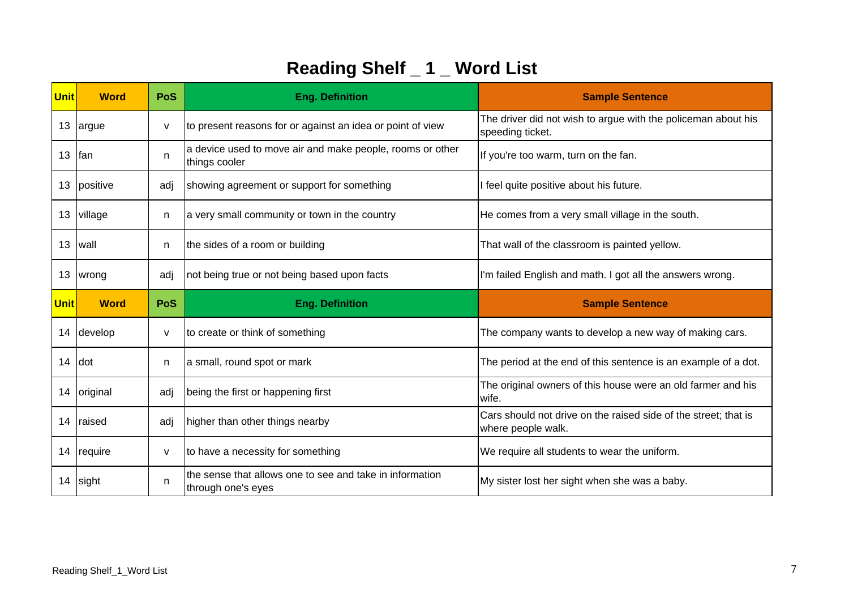| <b>Unit</b> | <b>Word</b>   | <b>PoS</b> | <b>Eng. Definition</b>                                                     | <b>Sample Sentence</b>                                                                |
|-------------|---------------|------------|----------------------------------------------------------------------------|---------------------------------------------------------------------------------------|
| 13          | argue         | v          | to present reasons for or against an idea or point of view                 | The driver did not wish to argue with the policeman about his<br>speeding ticket.     |
| 13          | lfan          | n.         | a device used to move air and make people, rooms or other<br>things cooler | If you're too warm, turn on the fan.                                                  |
| 13          | positive      | adj        | showing agreement or support for something                                 | I feel quite positive about his future.                                               |
| 13          | village       | n          | a very small community or town in the country                              | He comes from a very small village in the south.                                      |
| 13          | lwall         | n          | the sides of a room or building                                            | That wall of the classroom is painted yellow.                                         |
| 13          | wrong         | adj        | not being true or not being based upon facts                               | I'm failed English and math. I got all the answers wrong.                             |
|             |               |            |                                                                            |                                                                                       |
| <b>Unit</b> | <b>Word</b>   | <b>PoS</b> | <b>Eng. Definition</b>                                                     | <b>Sample Sentence</b>                                                                |
| 14          | develop       | V          | to create or think of something                                            | The company wants to develop a new way of making cars.                                |
| 14          | Idot          | n.         | a small, round spot or mark                                                | The period at the end of this sentence is an example of a dot.                        |
| 14          | original      | adj        | being the first or happening first                                         | The original owners of this house were an old farmer and his<br>wife.                 |
| 14          | <b>raised</b> | adj        | higher than other things nearby                                            | Cars should not drive on the raised side of the street; that is<br>where people walk. |
| 14          | require       | V          | to have a necessity for something                                          | We require all students to wear the uniform.                                          |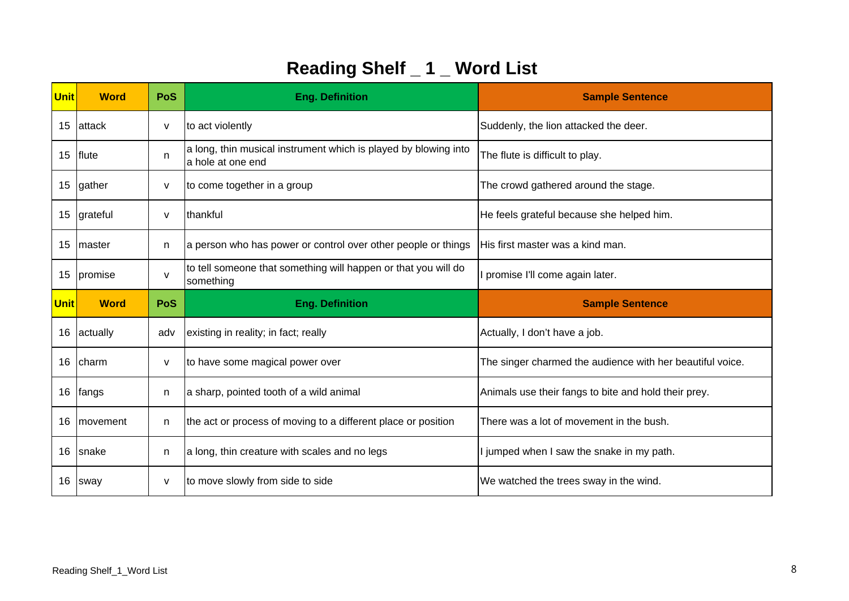| <b>Unit</b> | <b>Word</b>  | PoS          | <b>Eng. Definition</b>                                                                | <b>Sample Sentence</b>                                    |
|-------------|--------------|--------------|---------------------------------------------------------------------------------------|-----------------------------------------------------------|
| 15          | attack       | v            | to act violently                                                                      | Suddenly, the lion attacked the deer.                     |
| 15          | flute        | n            | a long, thin musical instrument which is played by blowing into<br>la hole at one end | The flute is difficult to play.                           |
| 15          | gather       | V            | to come together in a group                                                           | The crowd gathered around the stage.                      |
| 15          | grateful     | v            | thankful                                                                              | He feels grateful because she helped him.                 |
| 15          | Imaster      | n            | a person who has power or control over other people or things                         | His first master was a kind man.                          |
| 15          | promise      | $\mathsf{v}$ | to tell someone that something will happen or that you will do<br>something           | promise I'll come again later.                            |
|             |              |              |                                                                                       |                                                           |
| <b>Unit</b> | <b>Word</b>  | PoS          | <b>Eng. Definition</b>                                                                | <b>Sample Sentence</b>                                    |
| 16          | actually     | adv          | existing in reality; in fact; really                                                  | Actually, I don't have a job.                             |
| 16          | Icharm       | v            | to have some magical power over                                                       | The singer charmed the audience with her beautiful voice. |
| 16          | <b>fangs</b> | n            | a sharp, pointed tooth of a wild animal                                               | Animals use their fangs to bite and hold their prey.      |
| 16          | movement     | n            | the act or process of moving to a different place or position                         | There was a lot of movement in the bush.                  |
| 16          | snake        | n            | a long, thin creature with scales and no legs                                         | I jumped when I saw the snake in my path.                 |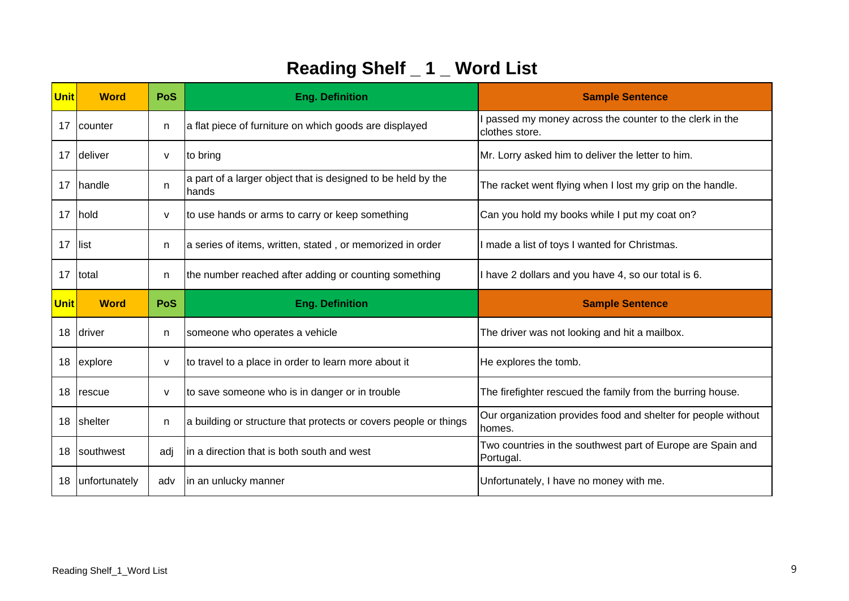| Unit | <b>Word</b>     | <b>PoS</b> | <b>Eng. Definition</b>                                                | <b>Sample Sentence</b>                                                   |
|------|-----------------|------------|-----------------------------------------------------------------------|--------------------------------------------------------------------------|
| 17   | <b>counter</b>  | n          | a flat piece of furniture on which goods are displayed                | passed my money across the counter to the clerk in the<br>clothes store. |
| 17   | deliver         | v          | to bring                                                              | Mr. Lorry asked him to deliver the letter to him.                        |
| 17   | <b>I</b> handle | n.         | a part of a larger object that is designed to be held by the<br>hands | The racket went flying when I lost my grip on the handle.                |
| 17   | hold            | v          | to use hands or arms to carry or keep something                       | Can you hold my books while I put my coat on?                            |
| 17   | llist           | n          | a series of items, written, stated, or memorized in order             | I made a list of toys I wanted for Christmas.                            |
| 17   | Itotal          | n          | the number reached after adding or counting something                 | I have 2 dollars and you have 4, so our total is 6.                      |
|      |                 |            |                                                                       |                                                                          |
| Unit | <b>Word</b>     | PoS        | <b>Eng. Definition</b>                                                | <b>Sample Sentence</b>                                                   |
| 18   | driver          | n          | someone who operates a vehicle                                        | The driver was not looking and hit a mailbox.                            |
| 18   | explore         | V          | to travel to a place in order to learn more about it                  | He explores the tomb.                                                    |
| 18   | rescue          | v          | to save someone who is in danger or in trouble                        | The firefighter rescued the family from the burring house.               |
| 18   | shelter         | n          | a building or structure that protects or covers people or things      | Our organization provides food and shelter for people without<br>homes.  |
| 18   | southwest       | adj        | in a direction that is both south and west                            | Two countries in the southwest part of Europe are Spain and<br>Portugal. |